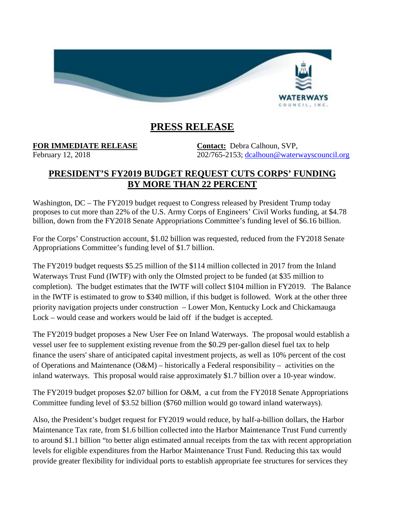

## **PRESS RELEASE**

## **FOR IMMEDIATE RELEASE Contact:** Debra Calhoun, SVP,

February 12, 2018 202/765-2153; [dcalhoun@waterwayscouncil.org](mailto:dcalhoun@waterwayscouncil.org)

## **PRESIDENT'S FY2019 BUDGET REQUEST CUTS CORPS' FUNDING BY MORE THAN 22 PERCENT**

Washington, DC – The FY2019 budget request to Congress released by President Trump today proposes to cut more than 22% of the U.S. Army Corps of Engineers' Civil Works funding, at \$4.78 billion, down from the FY2018 Senate Appropriations Committee's funding level of \$6.16 billion.

For the Corps' Construction account, \$1.02 billion was requested, reduced from the FY2018 Senate Appropriations Committee's funding level of \$1.7 billion.

The FY2019 budget requests \$5.25 million of the \$114 million collected in 2017 from the Inland Waterways Trust Fund (IWTF) with only the Olmsted project to be funded (at \$35 million to completion). The budget estimates that the IWTF will collect \$104 million in FY2019. The Balance in the IWTF is estimated to grow to \$340 million, if this budget is followed. Work at the other three priority navigation projects under construction – Lower Mon, Kentucky Lock and Chickamauga Lock – would cease and workers would be laid off if the budget is accepted.

The FY2019 budget proposes a New User Fee on Inland Waterways. The proposal would establish a vessel user fee to supplement existing revenue from the \$0.29 per-gallon diesel fuel tax to help finance the users' share of anticipated capital investment projects, as well as 10% percent of the cost of Operations and Maintenance (O&M) – historically a Federal responsibility – activities on the inland waterways. This proposal would raise approximately \$1.7 billion over a 10-year window.

The FY2019 budget proposes \$2.07 billion for O&M, a cut from the FY2018 Senate Appropriations Committee funding level of \$3.52 billion (\$760 million would go toward inland waterways).

Also, the President's budget request for FY2019 would reduce, by half-a-billion dollars, the Harbor Maintenance Tax rate, from \$1.6 billion collected into the Harbor Maintenance Trust Fund currently to around \$1.1 billion "to better align estimated annual receipts from the tax with recent appropriation levels for eligible expenditures from the Harbor Maintenance Trust Fund. Reducing this tax would provide greater flexibility for individual ports to establish appropriate fee structures for services they